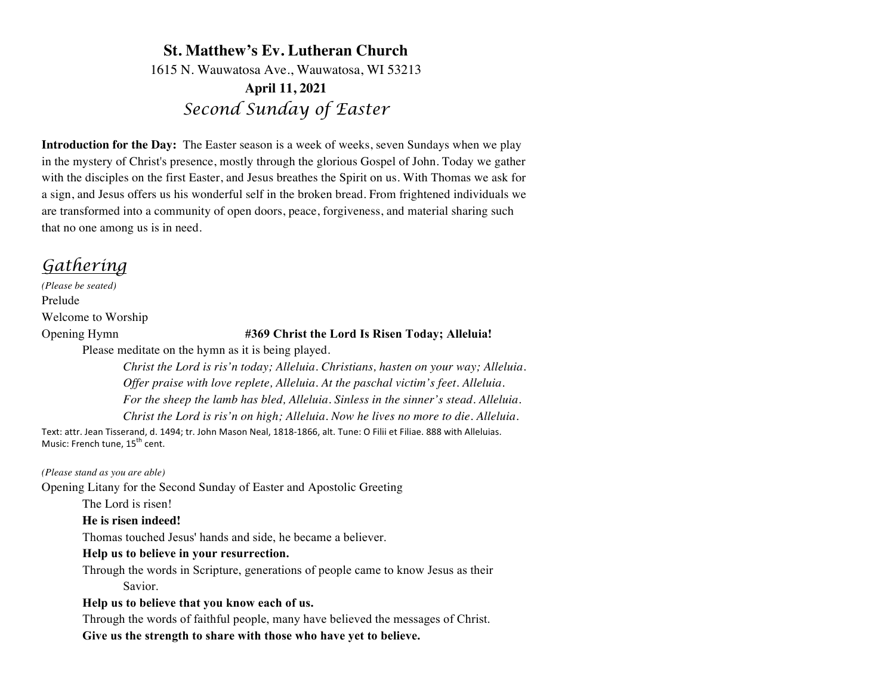# **St. Matthew's Ev. Lutheran Church** 1615 N. Wauwatosa Ave., Wauwatosa, WI 53213 **April 11, 2021** *Second Sunday of Easter*

**Introduction for the Day:** The Easter season is a week of weeks, seven Sundays when we play in the mystery of Christ's presence, mostly through the glorious Gospel of John. Today we gather with the disciples on the first Easter, and Jesus breathes the Spirit on us. With Thomas we ask for a sign, and Jesus offers us his wonderful self in the broken bread. From frightened individuals we are transformed into a community of open doors, peace, forgiveness, and material sharing such that no one among us is in need.

# *Gathering*

*(Please be seated)* Prelude Welcome to Worship

Opening Hymn **#369 Christ the Lord Is Risen Today; Alleluia!**

Please meditate on the hymn as it is being played.

*Christ the Lord is ris'n today; Alleluia. Christians, hasten on your way; Alleluia. Offer praise with love replete, Alleluia. At the paschal victim's feet. Alleluia. For the sheep the lamb has bled, Alleluia. Sinless in the sinner's stead. Alleluia. Christ the Lord is ris'n on high; Alleluia. Now he lives no more to die. Alleluia.*

Text: attr. Jean Tisserand, d. 1494; tr. John Mason Neal, 1818-1866, alt. Tune: O Filii et Filiae. 888 with Alleluias. Music: French tune, 15<sup>th</sup> cent.

*(Please stand as you are able)*

Opening Litany for the Second Sunday of Easter and Apostolic Greeting

The Lord is risen!

#### **He is risen indeed!**

Thomas touched Jesus' hands and side, he became a believer.

## **Help us to believe in your resurrection.**

Through the words in Scripture, generations of people came to know Jesus as their Savior.

## **Help us to believe that you know each of us.**

Through the words of faithful people, many have believed the messages of Christ. **Give us the strength to share with those who have yet to believe.**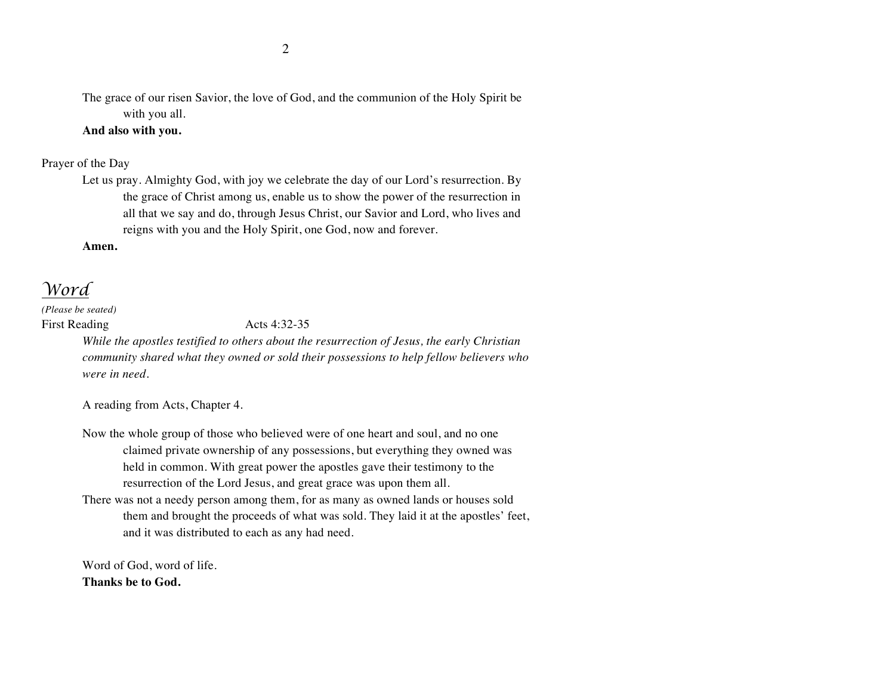The grace of our risen Savior, the love of God, and the communion of the Holy Spirit be with you all.

## **And also with you.**

## Prayer of the Day

Let us pray. Almighty God, with joy we celebrate the day of our Lord's resurrection. By the grace of Christ among us, enable us to show the power of the resurrection in all that we say and do, through Jesus Christ, our Savior and Lord, who lives and reigns with you and the Holy Spirit, one God, now and forever.

**Amen.**

## *Word*

*(Please be seated)*

First Reading Acts 4:32-35

*While the apostles testified to others about the resurrection of Jesus, the early Christian community shared what they owned or sold their possessions to help fellow believers who were in need.*

A reading from Acts, Chapter 4.

Now the whole group of those who believed were of one heart and soul, and no one claimed private ownership of any possessions, but everything they owned was held in common. With great power the apostles gave their testimony to the resurrection of the Lord Jesus, and great grace was upon them all.

There was not a needy person among them, for as many as owned lands or houses sold them and brought the proceeds of what was sold. They laid it at the apostles' feet, and it was distributed to each as any had need.

Word of God, word of life. **Thanks be to God.**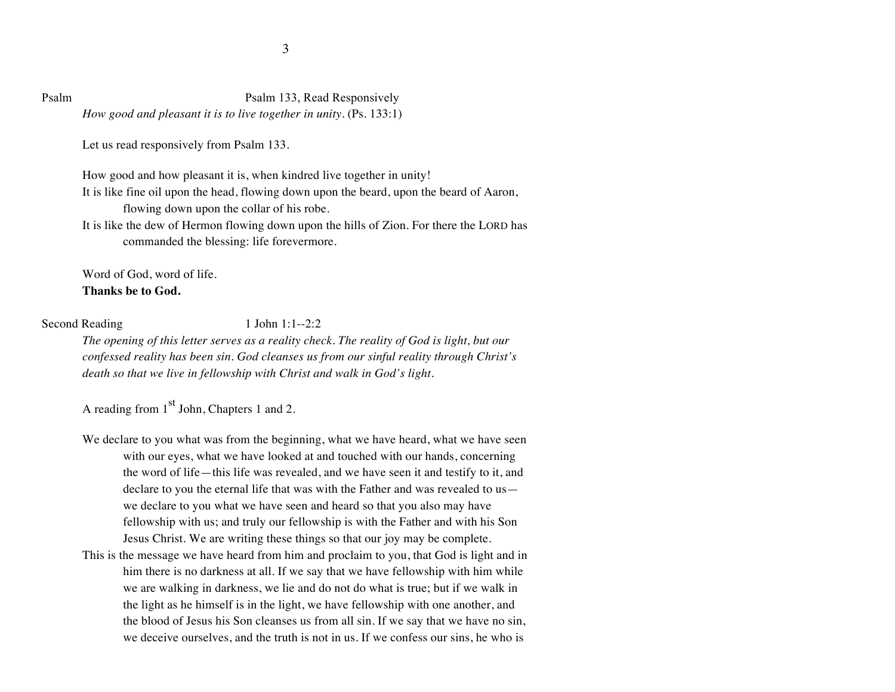## Psalm Psalm 133, Read Responsively *How good and pleasant it is to live together in unity.* (Ps. 133:1)

Let us read responsively from Psalm 133.

How good and how pleasant it is, when kindred live together in unity! It is like fine oil upon the head, flowing down upon the beard, upon the beard of Aaron,

flowing down upon the collar of his robe.

It is like the dew of Hermon flowing down upon the hills of Zion. For there the LORD has commanded the blessing: life forevermore.

Word of God, word of life. **Thanks be to God.**

Second Reading 1 John 1:1--2:2

*The opening of this letter serves as a reality check. The reality of God is light, but our confessed reality has been sin. God cleanses us from our sinful reality through Christ's death so that we live in fellowship with Christ and walk in God's light.*

A reading from  $1<sup>st</sup>$  John, Chapters 1 and 2.

- We declare to you what was from the beginning, what we have heard, what we have seen with our eyes, what we have looked at and touched with our hands, concerning the word of life—this life was revealed, and we have seen it and testify to it, and declare to you the eternal life that was with the Father and was revealed to us we declare to you what we have seen and heard so that you also may have fellowship with us; and truly our fellowship is with the Father and with his Son Jesus Christ. We are writing these things so that our joy may be complete.
- This is the message we have heard from him and proclaim to you, that God is light and in him there is no darkness at all. If we say that we have fellowship with him while we are walking in darkness, we lie and do not do what is true; but if we walk in the light as he himself is in the light, we have fellowship with one another, and the blood of Jesus his Son cleanses us from all sin. If we say that we have no sin, we deceive ourselves, and the truth is not in us. If we confess our sins, he who is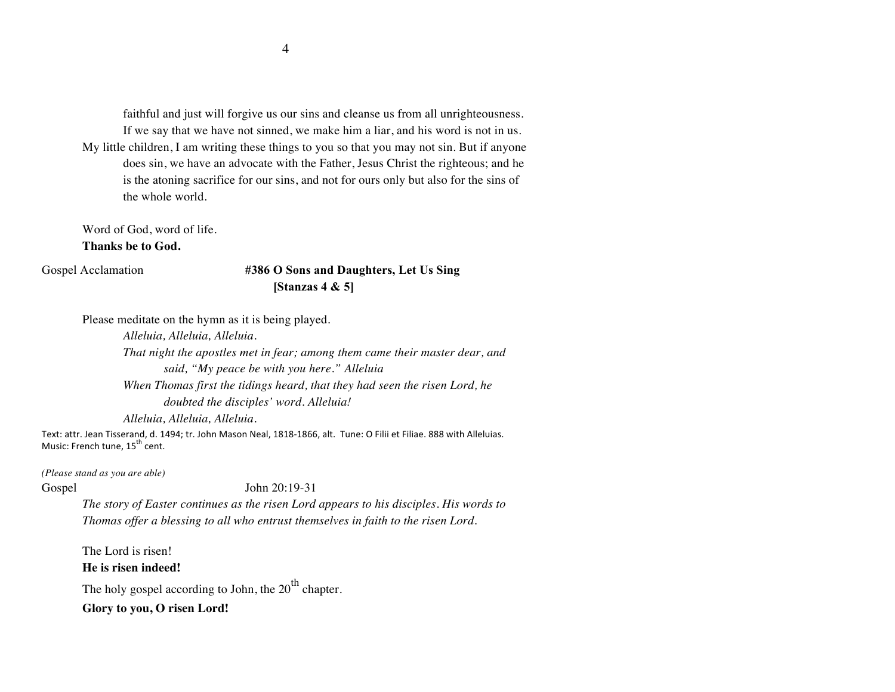faithful and just will forgive us our sins and cleanse us from all unrighteousness. If we say that we have not sinned, we make him a liar, and his word is not in us. My little children, I am writing these things to you so that you may not sin. But if anyone does sin, we have an advocate with the Father, Jesus Christ the righteous; and he is the atoning sacrifice for our sins, and not for ours only but also for the sins of the whole world.

Word of God, word of life. **Thanks be to God.**

## Gospel Acclamation **#386 O Sons and Daughters, Let Us Sing [Stanzas 4 & 5]**

Please meditate on the hymn as it is being played.

*Alleluia, Alleluia, Alleluia. That night the apostles met in fear; among them came their master dear, and said, "My peace be with you here." Alleluia When Thomas first the tidings heard, that they had seen the risen Lord, he doubted the disciples' word. Alleluia!*

*Alleluia, Alleluia, Alleluia.*

Text: attr. Jean Tisserand, d. 1494; tr. John Mason Neal, 1818-1866, alt. Tune: O Filii et Filiae. 888 with Alleluias. Music: French tune, 15<sup>th</sup> cent.

*(Please stand as you are able)*

Gospel John 20:19-31

*The story of Easter continues as the risen Lord appears to his disciples. His words to Thomas offer a blessing to all who entrust themselves in faith to the risen Lord.*

The Lord is risen!

**He is risen indeed!**

The holy gospel according to John, the  $20<sup>th</sup>$  chapter.

**Glory to you, O risen Lord!**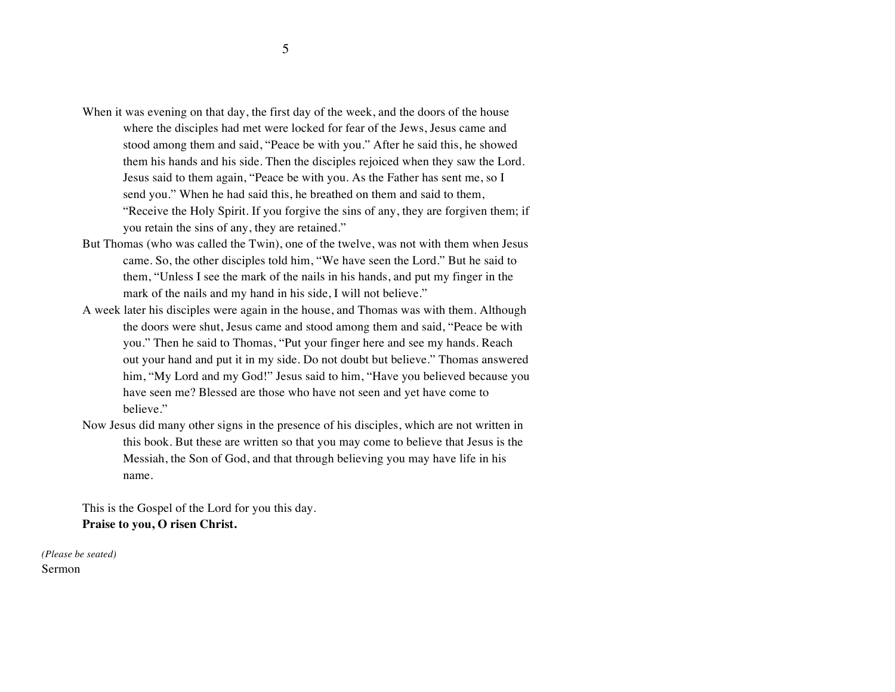- When it was evening on that day, the first day of the week, and the doors of the house where the disciples had met were locked for fear of the Jews, Jesus came and stood among them and said, "Peace be with you." After he said this, he showed them his hands and his side. Then the disciples rejoiced when they saw the Lord. Jesus said to them again, "Peace be with you. As the Father has sent me, so I send you." When he had said this, he breathed on them and said to them, "Receive the Holy Spirit. If you forgive the sins of any, they are forgiven them; if you retain the sins of any, they are retained."
- But Thomas (who was called the Twin), one of the twelve, was not with them when Jesus came. So, the other disciples told him, "We have seen the Lord." But he said to them, "Unless I see the mark of the nails in his hands, and put my finger in the mark of the nails and my hand in his side, I will not believe."
- A week later his disciples were again in the house, and Thomas was with them. Although the doors were shut, Jesus came and stood among them and said, "Peace be with you." Then he said to Thomas, "Put your finger here and see my hands. Reach out your hand and put it in my side. Do not doubt but believe." Thomas answered him, "My Lord and my God!" Jesus said to him, "Have you believed because you have seen me? Blessed are those who have not seen and yet have come to believe."
- Now Jesus did many other signs in the presence of his disciples, which are not written in this book. But these are written so that you may come to believe that Jesus is the Messiah, the Son of God, and that through believing you may have life in his name.

This is the Gospel of the Lord for you this day. **Praise to you, O risen Christ.**

*(Please be seated)* Sermon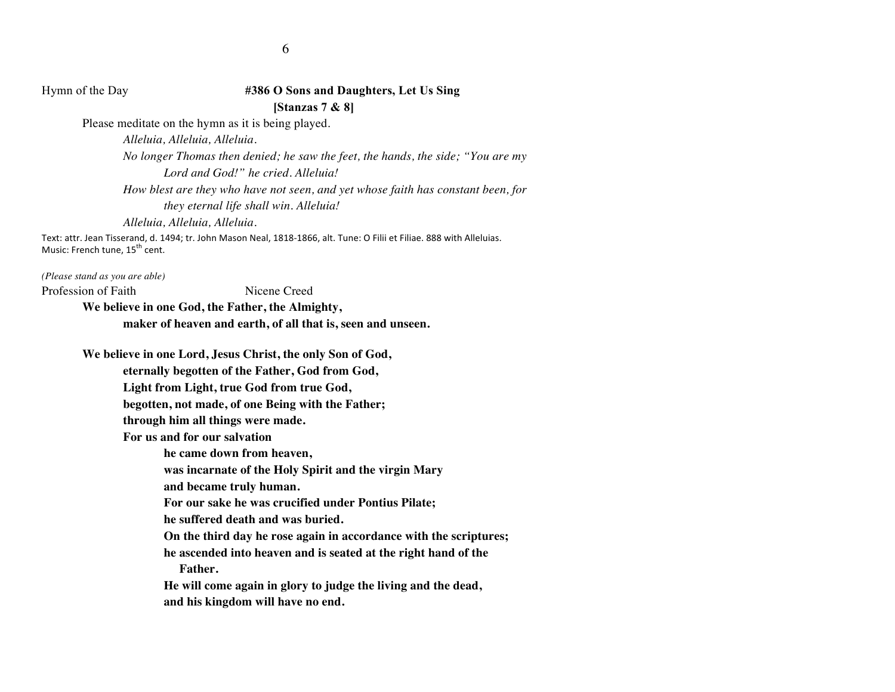## Hymn of the Day **#386 O Sons and Daughters, Let Us Sing [Stanzas 7 & 8]**

Please meditate on the hymn as it is being played.

*Alleluia, Alleluia, Alleluia. No longer Thomas then denied; he saw the feet, the hands, the side; "You are my Lord and God!" he cried. Alleluia! How blest are they who have not seen, and yet whose faith has constant been, for* 

*they eternal life shall win. Alleluia!*

*Alleluia, Alleluia, Alleluia.*

Text: attr. Jean Tisserand, d. 1494; tr. John Mason Neal, 1818-1866, alt. Tune: O Filii et Filiae, 888 with Alleluias. Music: French tune, 15<sup>th</sup> cent.

*(Please stand as you are able)* Profession of Faith Nicene Creed

**We believe in one God, the Father, the Almighty, maker of heaven and earth, of all that is, seen and unseen.**

**We believe in one Lord, Jesus Christ, the only Son of God,** 

**eternally begotten of the Father, God from God,** 

**Light from Light, true God from true God,** 

**begotten, not made, of one Being with the Father;** 

**through him all things were made.**

**For us and for our salvation** 

**he came down from heaven,** 

**was incarnate of the Holy Spirit and the virgin Mary**

**and became truly human.** 

**For our sake he was crucified under Pontius Pilate;** 

**he suffered death and was buried.** 

**On the third day he rose again in accordance with the scriptures;** 

**he ascended into heaven and is seated at the right hand of the Father.** 

**He will come again in glory to judge the living and the dead, and his kingdom will have no end.**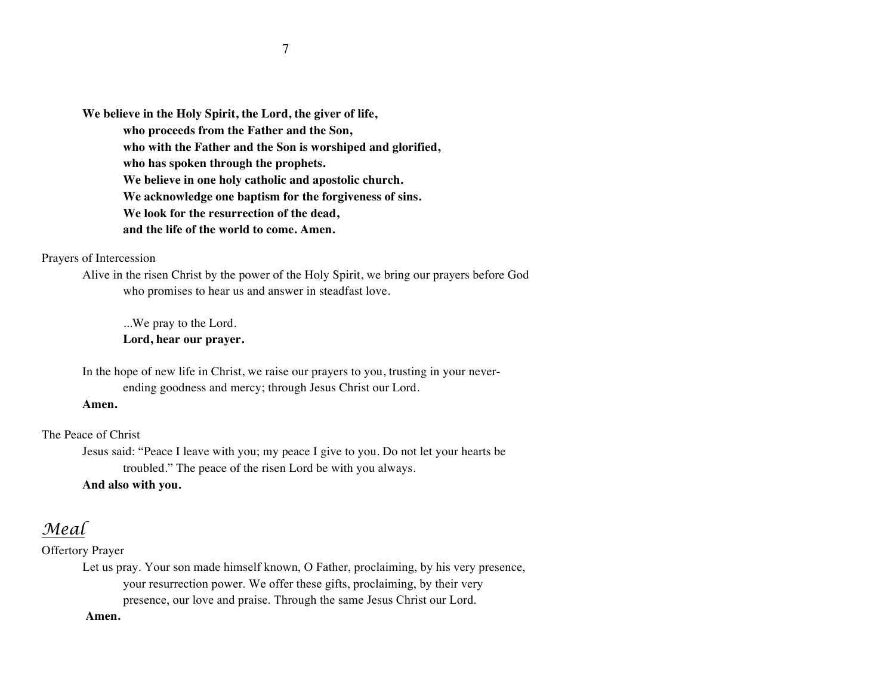**We believe in the Holy Spirit, the Lord, the giver of life, who proceeds from the Father and the Son, who with the Father and the Son is worshiped and glorified, who has spoken through the prophets. We believe in one holy catholic and apostolic church. We acknowledge one baptism for the forgiveness of sins. We look for the resurrection of the dead, and the life of the world to come. Amen.**

#### Prayers of Intercession

Alive in the risen Christ by the power of the Holy Spirit, we bring our prayers before God who promises to hear us and answer in steadfast love.

...We pray to the Lord. **Lord, hear our prayer.**

In the hope of new life in Christ, we raise our prayers to you, trusting in your neverending goodness and mercy; through Jesus Christ our Lord.

#### **Amen.**

The Peace of Christ

Jesus said: "Peace I leave with you; my peace I give to you. Do not let your hearts be troubled." The peace of the risen Lord be with you always.

#### **And also with you.**

## *Meal*

#### Offertory Prayer

Let us pray. Your son made himself known, O Father, proclaiming, by his very presence, your resurrection power. We offer these gifts, proclaiming, by their very presence, our love and praise. Through the same Jesus Christ our Lord.

#### **Amen.**